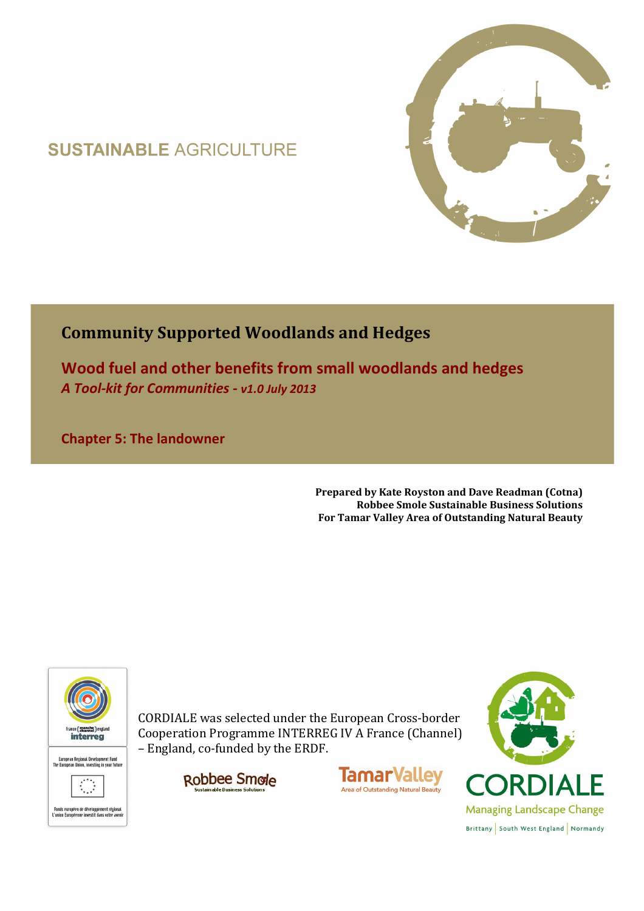# **SUSTAINABLE AGRICULTURE**



# **Community Supported Woodlands and Hedges**

**Wood fuel and other benefits from small woodlands and hedges**  *A Tool-kit for Communities - v1.0 July 2013*

**Chapter 5: The landowner** 

**Prepared by Kate Royston and Dave Readman (Cotna) Robbee Smole Sustainable Business Solutions For Tamar Valley Area of Outstanding Natural Beauty**



CORDIALE was selected under the European Cross-border Cooperation Programme INTERREG IV A France (Channel) – England, co-funded by the ERDF.





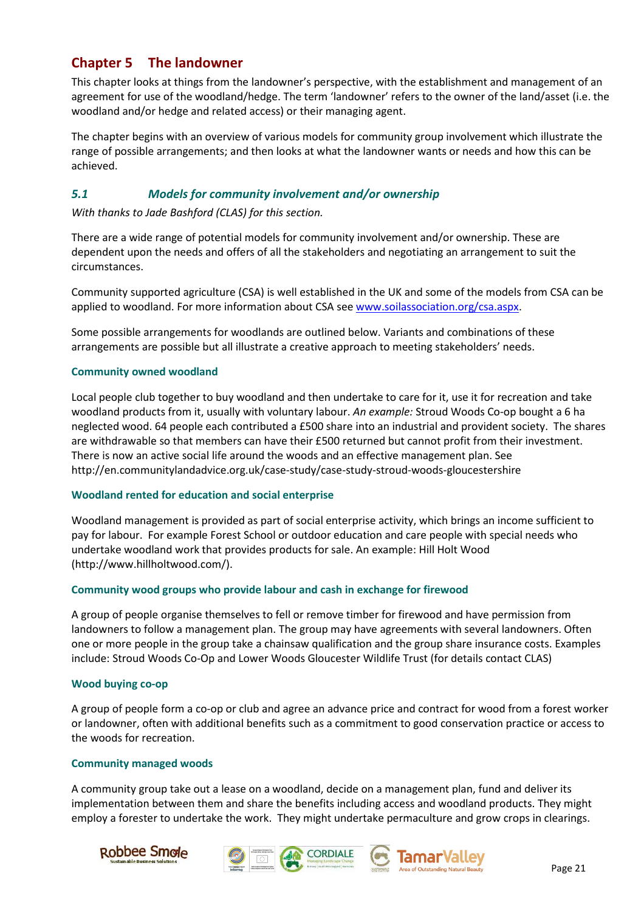# **Chapter 5 The landowner**

This chapter looks at things from the landowner's perspective, with the establishment and management of an agreement for use of the woodland/hedge. The term 'landowner' refers to the owner of the land/asset (i.e. the woodland and/or hedge and related access) or their managing agent.

The chapter begins with an overview of various models for community group involvement which illustrate the range of possible arrangements; and then looks at what the landowner wants or needs and how this can be achieved.

### *5.1 Models for community involvement and/or ownership*

*With thanks to Jade Bashford (CLAS) for this section.* 

There are a wide range of potential models for community involvement and/or ownership. These are dependent upon the needs and offers of all the stakeholders and negotiating an arrangement to suit the circumstances.

Community supported agriculture (CSA) is well established in the UK and some of the models from CSA can be applied to woodland. For more information about CSA see www.soilassociation.org/csa.aspx.

Some possible arrangements for woodlands are outlined below. Variants and combinations of these arrangements are possible but all illustrate a creative approach to meeting stakeholders' needs.

#### **Community owned woodland**

Local people club together to buy woodland and then undertake to care for it, use it for recreation and take woodland products from it, usually with voluntary labour. *An example:* Stroud Woods Co-op bought a 6 ha neglected wood. 64 people each contributed a £500 share into an industrial and provident society. The shares are withdrawable so that members can have their £500 returned but cannot profit from their investment. There is now an active social life around the woods and an effective management plan. See http://en.communitylandadvice.org.uk/case-study/case-study-stroud-woods-gloucestershire

#### **Woodland rented for education and social enterprise**

Woodland management is provided as part of social enterprise activity, which brings an income sufficient to pay for labour. For example Forest School or outdoor education and care people with special needs who undertake woodland work that provides products for sale. An example: Hill Holt Wood (http://www.hillholtwood.com/).

#### **Community wood groups who provide labour and cash in exchange for firewood**

A group of people organise themselves to fell or remove timber for firewood and have permission from landowners to follow a management plan. The group may have agreements with several landowners. Often one or more people in the group take a chainsaw qualification and the group share insurance costs. Examples include: Stroud Woods Co-Op and Lower Woods Gloucester Wildlife Trust (for details contact CLAS)

#### **Wood buying co-op**

A group of people form a co-op or club and agree an advance price and contract for wood from a forest worker or landowner, often with additional benefits such as a commitment to good conservation practice or access to the woods for recreation.

#### **Community managed woods**

A community group take out a lease on a woodland, decide on a management plan, fund and deliver its implementation between them and share the benefits including access and woodland products. They might employ a forester to undertake the work. They might undertake permaculture and grow crops in clearings.







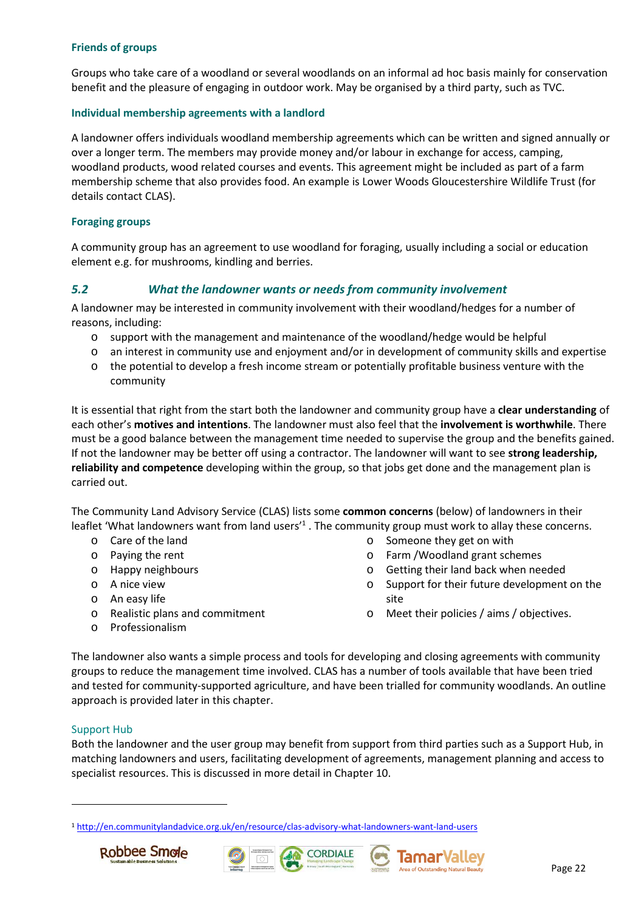#### **Friends of groups**

Groups who take care of a woodland or several woodlands on an informal ad hoc basis mainly for conservation benefit and the pleasure of engaging in outdoor work. May be organised by a third party, such as TVC.

#### **Individual membership agreements with a landlord**

A landowner offers individuals woodland membership agreements which can be written and signed annually or over a longer term. The members may provide money and/or labour in exchange for access, camping, woodland products, wood related courses and events. This agreement might be included as part of a farm membership scheme that also provides food. An example is Lower Woods Gloucestershire Wildlife Trust (for details contact CLAS).

#### **Foraging groups**

A community group has an agreement to use woodland for foraging, usually including a social or education element e.g. for mushrooms, kindling and berries.

#### *5.2 What the landowner wants or needs from community involvement*

A landowner may be interested in community involvement with their woodland/hedges for a number of reasons, including:

- o support with the management and maintenance of the woodland/hedge would be helpful
- o an interest in community use and enjoyment and/or in development of community skills and expertise
- o the potential to develop a fresh income stream or potentially profitable business venture with the community

It is essential that right from the start both the landowner and community group have a **clear understanding** of each other's **motives and intentions**. The landowner must also feel that the **involvement is worthwhile**. There must be a good balance between the management time needed to supervise the group and the benefits gained. If not the landowner may be better off using a contractor. The landowner will want to see **strong leadership, reliability and competence** developing within the group, so that jobs get done and the management plan is carried out.

The Community Land Advisory Service (CLAS) lists some **common concerns** (below) of landowners in their leaflet 'What landowners want from land users'<sup>1</sup>. The community group must work to allay these concerns.

- o Care of the land
- o Paying the rent
- o Happy neighbours
- o A nice view
- o An easy life
- o Realistic plans and commitment
- o Professionalism
- o Someone they get on with
- o Farm /Woodland grant schemes
- o Getting their land back when needed
- o Support for their future development on the site
- o Meet their policies / aims / objectives.

The landowner also wants a simple process and tools for developing and closing agreements with community groups to reduce the management time involved. CLAS has a number of tools available that have been tried and tested for community-supported agriculture, and have been trialled for community woodlands. An outline approach is provided later in this chapter.

#### Support Hub

 $\overline{a}$ 

Both the landowner and the user group may benefit from support from third parties such as a Support Hub, in matching landowners and users, facilitating development of agreements, management planning and access to specialist resources. This is discussed in more detail in Chapter 10.

<sup>1</sup> http://en.communitylandadvice.org.uk/en/resource/clas-advisory-what-landowners-want-land-users







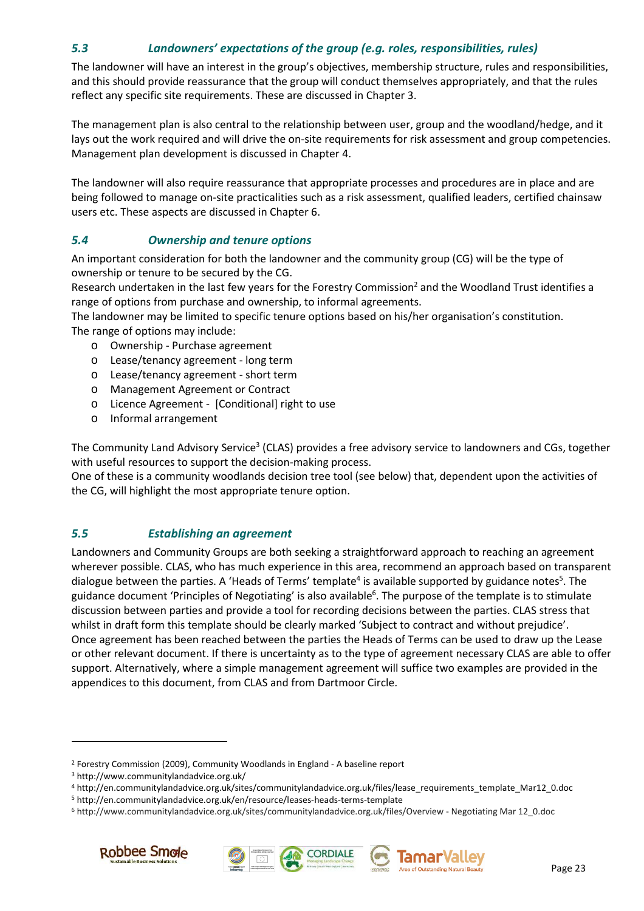## *5.3 Landowners' expectations of the group (e.g. roles, responsibilities, rules)*

The landowner will have an interest in the group's objectives, membership structure, rules and responsibilities, and this should provide reassurance that the group will conduct themselves appropriately, and that the rules reflect any specific site requirements. These are discussed in Chapter 3.

The management plan is also central to the relationship between user, group and the woodland/hedge, and it lays out the work required and will drive the on-site requirements for risk assessment and group competencies. Management plan development is discussed in Chapter 4.

The landowner will also require reassurance that appropriate processes and procedures are in place and are being followed to manage on-site practicalities such as a risk assessment, qualified leaders, certified chainsaw users etc. These aspects are discussed in Chapter 6.

## *5.4 Ownership and tenure options*

An important consideration for both the landowner and the community group (CG) will be the type of ownership or tenure to be secured by the CG.

Research undertaken in the last few years for the Forestry Commission<sup>2</sup> and the Woodland Trust identifies a range of options from purchase and ownership, to informal agreements.

The landowner may be limited to specific tenure options based on his/her organisation's constitution.

The range of options may include:

- o Ownership Purchase agreement
- o Lease/tenancy agreement long term
- o Lease/tenancy agreement short term
- o Management Agreement or Contract
- o Licence Agreement [Conditional] right to use
- o Informal arrangement

The Community Land Advisory Service<sup>3</sup> (CLAS) provides a free advisory service to landowners and CGs, together with useful resources to support the decision-making process.

One of these is a community woodlands decision tree tool (see below) that, dependent upon the activities of the CG, will highlight the most appropriate tenure option.

#### *5.5 Establishing an agreement*

Landowners and Community Groups are both seeking a straightforward approach to reaching an agreement wherever possible. CLAS, who has much experience in this area, recommend an approach based on transparent dialogue between the parties. A 'Heads of Terms' template<sup>4</sup> is available supported by guidance notes<sup>5</sup>. The guidance document 'Principles of Negotiating' is also available<sup>6</sup>. The purpose of the template is to stimulate discussion between parties and provide a tool for recording decisions between the parties. CLAS stress that whilst in draft form this template should be clearly marked 'Subject to contract and without prejudice'. Once agreement has been reached between the parties the Heads of Terms can be used to draw up the Lease or other relevant document. If there is uncertainty as to the type of agreement necessary CLAS are able to offer support. Alternatively, where a simple management agreement will suffice two examples are provided in the appendices to this document, from CLAS and from Dartmoor Circle.

<sup>6</sup> http://www.communitylandadvice.org.uk/sites/communitylandadvice.org.uk/files/Overview - Negotiating Mar 12\_0.doc



 $\overline{a}$ 





<sup>&</sup>lt;sup>2</sup> Forestry Commission (2009), Community Woodlands in England - A baseline report

<sup>3</sup> http://www.communitylandadvice.org.uk/

<sup>4</sup> http://en.communitylandadvice.org.uk/sites/communitylandadvice.org.uk/files/lease\_requirements\_template\_Mar12\_0.doc

<sup>5</sup> http://en.communitylandadvice.org.uk/en/resource/leases-heads-terms-template